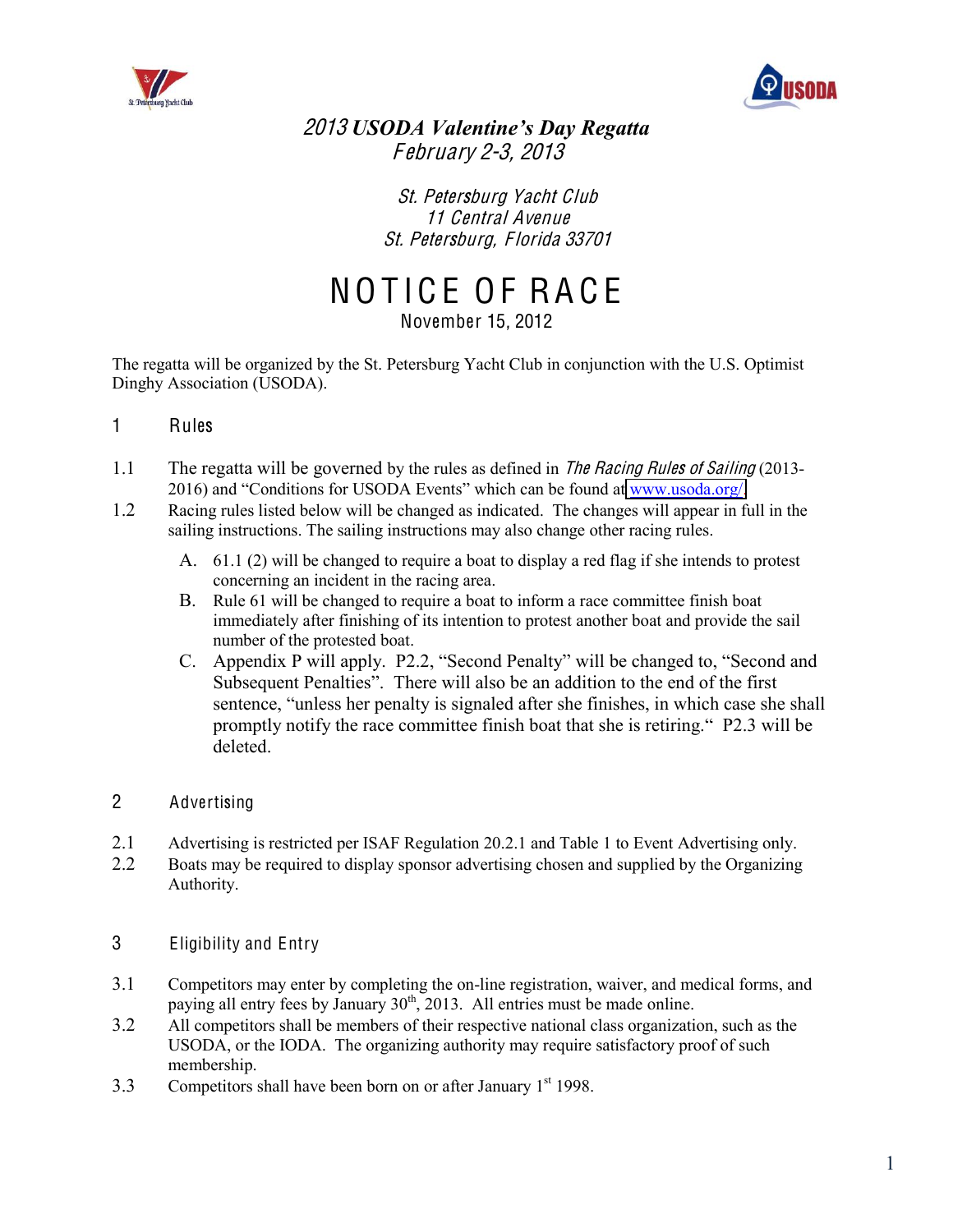



2013 *USODA Valentine's Day Regatta* F <sup>e</sup>bruary 2-3, 2013

> St. Peter<sup>s</sup>burg Yacht Club 11 Central Avenue St. Petersburg, Florida 33701

NOTICE OF RACE

November 15, 2012

The regatta will be organized by the St. Petersburg Yacht Club in conjunction with the U.S. Optimist Dinghy Association (USODA).

- 1 Rules
- 1.1 The regatta will be governed by the rules as defined in The Racing Rules of Sailing (20132016) and "Conditions for USODA Events" which can be found at [www.usoda.org/.](http://www.usoda.org/)
- 1.2 Racing rules listed below will be changed as indicated. The changes will appear in full in the sailing instructions. The sailing instructions may also change other racing rules.
	- A. 61.1 (2) will be changed to require a boat to display a red flag if she intends to protest concerning an incident in the racing area.
	- B. Rule 61 will be changed to require a boat to inform a race committee finish boat immediately after finishing of its intention to protest another boat and provide the sail number of the protested boat.
	- C. Appendix P will apply. P2.2, "Second Penalty" will be changed to, "Second and Subsequent Penalties". There will also be an addition to the end of the first sentence, "unless her penalty is signaled after she finishes, in which case she shall promptly notify the race committee finish boat that she is retiring." P2.3 will be deleted.
- 2 Advertising
- 2.1 Advertising is restricted per ISAF Regulation 20.2.1 and Table 1 to Event Advertising only.
- 2.2 Boats may be required to display sponsor advertising chosen and supplied by the Organizing Authority.
- 3 Eligibility and Entry
- 3.1 Competitors may enter by completing the on-line registration, waiver, and medical forms, and paying all entry fees by January  $30<sup>th</sup>$ , 2013. All entries must be made online.
- 3.2 All competitors shall be members of their respective national class organization, such as the USODA, or the IODA. The organizing authority may require satisfactory proof of such membership.
- 3.3 Competitors shall have been born on or after January  $1<sup>st</sup>$  1998.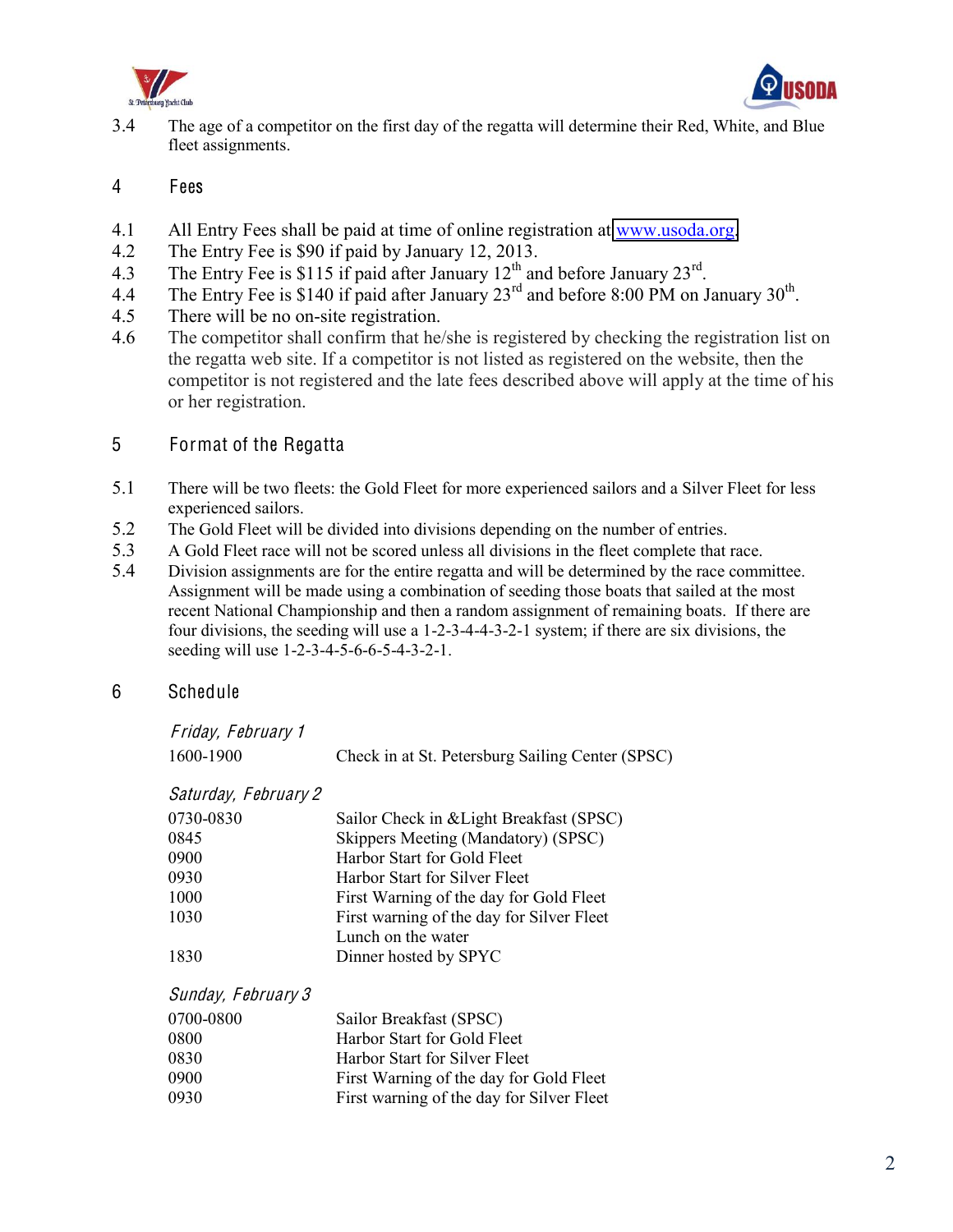



3.4 The age of a competitor on the first day of the regatta will determine their Red, White, and Blue fleet assignments.

## 4 Fees

- 4.1 All Entry Fees shall be paid at time of online registration at [www.usoda.org.](http://www.usoda.org/)
- 4.2 The Entry Fee is \$90 if paid by January 12, 2013.
- 4.3 The Entry Fee is \$115 if paid after January 12<sup>th</sup> and before January 23<sup>rd</sup>.
- 4.4 The Entry Fee is \$140 if paid after January  $23^{\text{rd}}$  and before 8:00 PM on January  $30^{\text{th}}$ .
- 4.5 There will be no on-site registration.
- 4.6 The competitor shall confirm that he/she is registered by checking the registration list on the regatta web site. If a competitor is not listed as registered on the website, then the competitor is not registered and the late fees described above will apply at the time of his or her registration.

# 5 Format of the Regatta

- 5.1 There will be two fleets: the Gold Fleet for more experienced sailors and a Silver Fleet for less experienced sailors.
- 5.2 The Gold Fleet will be divided into divisions depending on the number of entries.
- 5.3 A Gold Fleet race will not be scored unless all divisions in the fleet complete that race.
- 5.4 Division assignments are for the entire regatta and will be determined by the race committee. Assignment will be made using a combination of seeding those boats that sailed at the most recent National Championship and then a random assignment of remaining boats. If there are four divisions, the seeding will use a 1-2-3-4-4-3-2-1 system; if there are six divisions, the seeding will use 1-2-3-4-5-6-6-5-4-3-2-1.

# 6 Schedule

| Friday, February 1 |  |
|--------------------|--|
| 1700, 1000         |  |

1600-1900 Check in at St. Petersburg Sailing Center (SPSC)

#### Saturday, February 2

| 0730-0830 | Sailor Check in & Light Breakfast (SPSC)  |
|-----------|-------------------------------------------|
| 0845      | Skippers Meeting (Mandatory) (SPSC)       |
| 0900      | Harbor Start for Gold Fleet               |
| 0930      | Harbor Start for Silver Fleet             |
| 1000      | First Warning of the day for Gold Fleet   |
| 1030      | First warning of the day for Silver Fleet |
|           | Lunch on the water                        |
| 1830      | Dinner hosted by SPYC                     |

#### Sunday, February 3

| 0700-0800 | Sailor Breakfast (SPSC)                   |
|-----------|-------------------------------------------|
| 0800      | Harbor Start for Gold Fleet               |
| 0830      | Harbor Start for Silver Fleet             |
| 0900      | First Warning of the day for Gold Fleet   |
| 0930      | First warning of the day for Silver Fleet |
|           |                                           |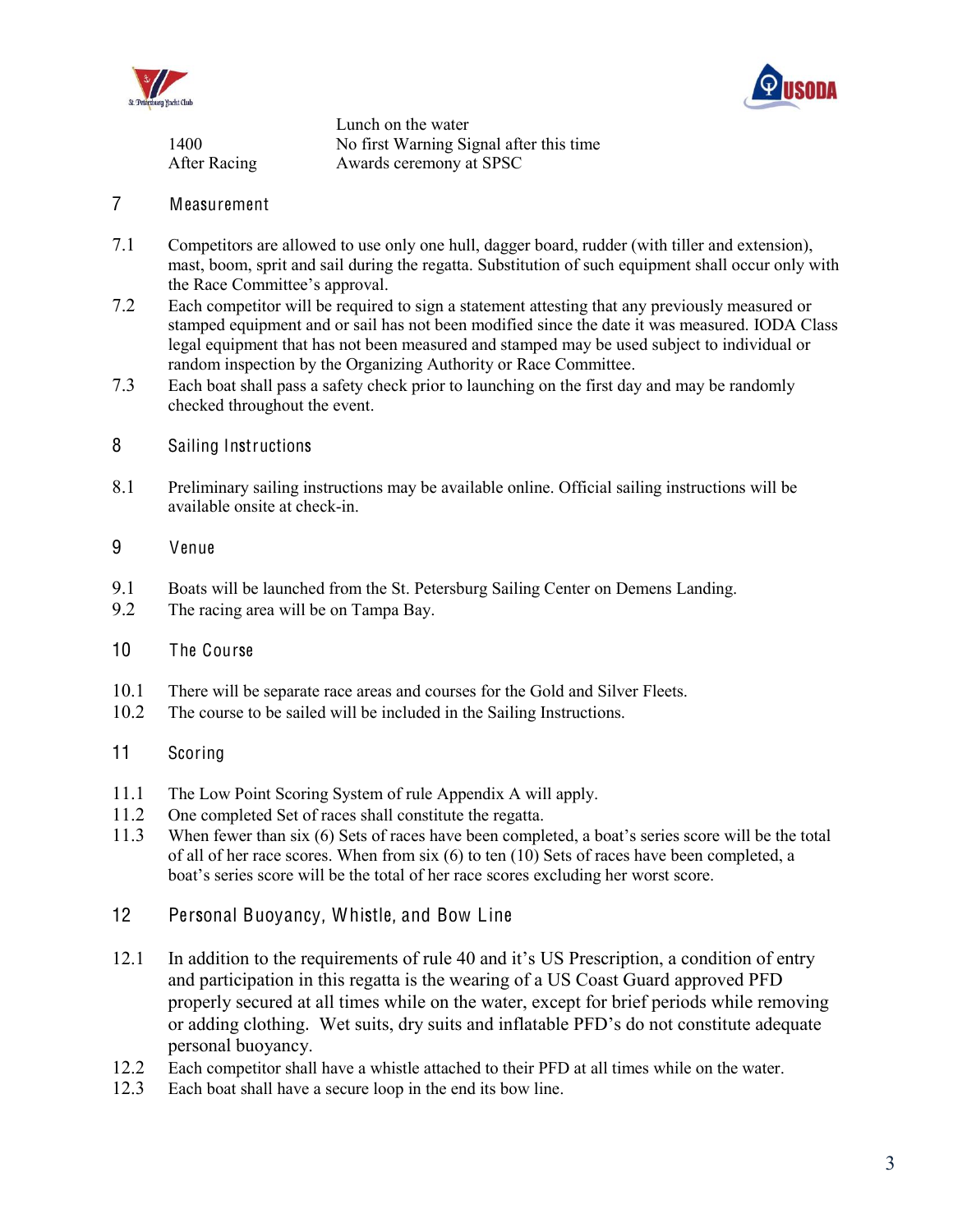



|              | Lunch on the water                      |
|--------------|-----------------------------------------|
| 1400         | No first Warning Signal after this time |
| After Racing | Awards ceremony at SPSC                 |

## 7 Measurement

- 7.1 Competitors are allowed to use only one hull, dagger board, rudder (with tiller and extension), mast, boom, sprit and sail during the regatta. Substitution of such equipment shall occur only with the Race Committee's approval.
- 7.2 Each competitor will be required to sign a statement attesting that any previously measured or stamped equipment and or sail has not been modified since the date it was measured. IODA Class legal equipment that has not been measured and stamped may be used subject to individual or random inspection by the Organizing Authority or Race Committee.
- 7.3 Each boat shall pass a safety check prior to launching on the first day and may be randomly checked throughout the event.
- 8 Sailing Instructions
- 8.1 Preliminary sailing instructions may be available online. Official sailing instructions will be available onsite at check-in.
- 9 Venue
- 9.1 Boats will be launched from the St. Petersburg Sailing Center on Demens Landing.<br>9.2 The racing area will be on Tampa Bay.
- The racing area will be on Tampa Bay.
- 10 The Course
- 10.1 There will be separate race areas and courses for the Gold and Silver Fleets.<br>10.2 The course to be sailed will be included in the Sailing Instructions.
- The course to be sailed will be included in the Sailing Instructions.
- 11 Scoring
- 11.1 The Low Point Scoring System of rule Appendix A will apply.
- 11.2 One completed Set of races shall constitute the regatta.
- 11.3 When fewer than six (6) Sets of races have been completed, a boat's series score will be the total of all of her race scores. When from six (6) to ten (10) Sets of races have been completed, a boat's series score will be the total of her race scores excluding her worst score.
- 12 Personal Buoyancy, Whistle, and Bow Line
- 12.1 In addition to the requirements of rule 40 and it's US Prescription, a condition of entry and participation in this regatta is the wearing of a US Coast Guard approved PFD properly secured at all times while on the water, except for brief periods while removing or adding clothing. Wet suits, dry suits and inflatable PFD's do not constitute adequate personal buoyancy.
- 12.2 Each competitor shall have a whistle attached to their PFD at all times while on the water.
- 12.3 Each boat shall have a secure loop in the end its bow line.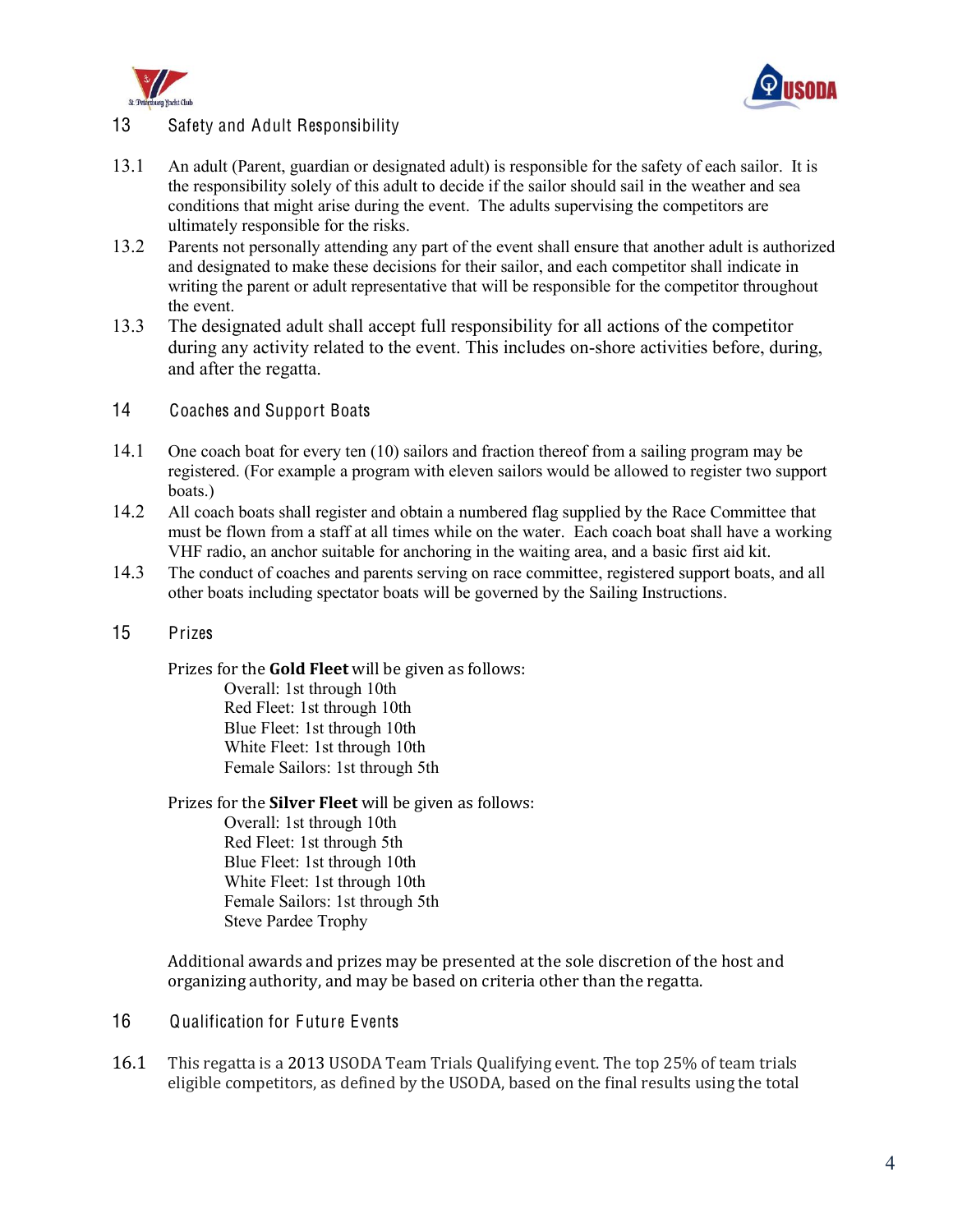



# 13 Safety and Adult Responsibility

- 13.1 An adult (Parent, guardian or designated adult) is responsible for the safety of each sailor. It is the responsibility solely of this adult to decide if the sailor should sail in the weather and sea conditions that might arise during the event. The adults supervising the competitors are ultimately responsible for the risks.
- 13.2 Parents not personally attending any part of the event shall ensure that another adult is authorized and designated to make these decisions for their sailor, and each competitor shall indicate in writing the parent or adult representative that will be responsible for the competitor throughout the event.
- 13.3 The designated adult shall accept full responsibility for all actions of the competitor during any activity related to the event. This includes on-shore activities before, during, and after the regatta.
- 14 Coaches and Support Boats
- 14.1 One coach boat for every ten (10) sailors and fraction thereof from a sailing program may be registered. (For example a program with eleven sailors would be allowed to register two support boats.)
- 14.2 All coach boats shall register and obtain a numbered flag supplied by the Race Committee that must be flown from a staff at all times while on the water. Each coach boat shall have a working VHF radio, an anchor suitable for anchoring in the waiting area, and a basic first aid kit.
- 14.3 The conduct of coaches and parents serving on race committee, registered support boats, and all other boats including spectator boats will be governed by the Sailing Instructions.
- 15 Prizes

Prizes for the **Gold Fleet** will be given as follows:

Overall: 1st through 10th Red Fleet: 1st through 10th Blue Fleet: 1st through 10th White Fleet: 1st through 10th Female Sailors: 1st through 5th

Prizes for the **Silver Fleet** will be given as follows:

Overall: 1st through 10th Red Fleet: 1st through 5th Blue Fleet: 1st through 10th White Fleet: 1st through 10th Female Sailors: 1st through 5th Steve Pardee Trophy

Additional awards and prizes may be presented at the sole discretion of the host and organizing authority, and may be based on criteria other than the regatta.

- 16 Qualification for Future Events
- 16.1 This regatta is a 2013 USODA Team Trials Qualifying event. The top 25% of team trials eligible competitors, as defined by the USODA, based on the final results using the total